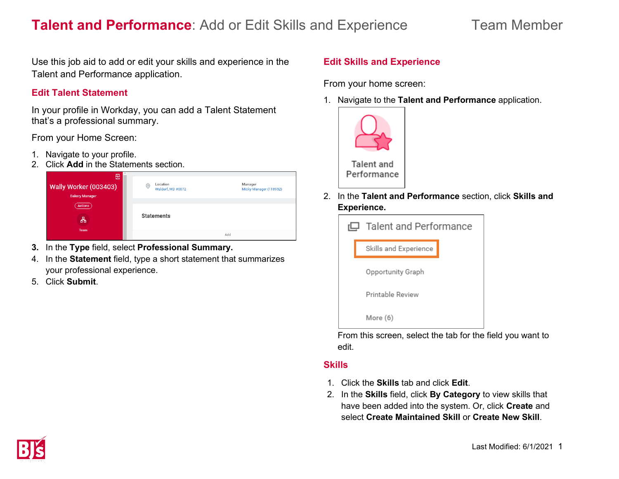Use this job aid to add or edit your skills and experience in the Talent and Performance application.

# **Edit Talent Statement**

In your profile in Workday, you can add a Talent Statement that's a professional summary.

From your Home Screen:

- 1. Navigate to your profile.
- 2. Click **Add** in the Statements section.



- **3.** In the **Type** field, select **Professional Summary.**
- 4. In the **Statement** field, type a short statement that summarizes your professional experience.
- 5. Click **Submit**.

# **Edit Skills and Experience**

From your home screen:

1. Navigate to the **Talent and Performance** application.



2. In the **Talent and Performance** section, click **Skills and Experience.**

| $\Box$ Talent and Performance |                       |  |
|-------------------------------|-----------------------|--|
|                               | Skills and Experience |  |
|                               | Opportunity Graph     |  |
|                               | Printable Review      |  |
|                               | More (6)              |  |

From this screen, select the tab for the field you want to edit.

## **Skills**

- 1. Click the **Skills** tab and click **Edit**.
- 2. In the **Skills** field, click **By Category** to view skills that have been added into the system. Or, click **Create** and select **Create Maintained Skill** or **Create New Skill**.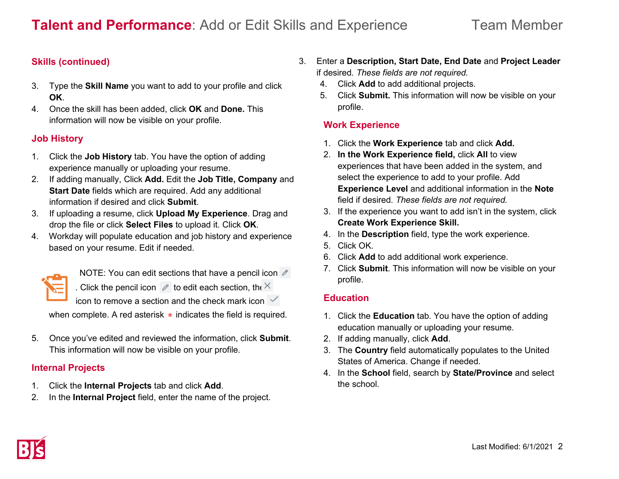# **Skills (continued)**

- 3. Type the **Skill Name** you want to add to your profile and click **OK**.
- 4. Once the skill has been added, click **OK** and **Done.** This information will now be visible on your profile.

# **Job History**

- 1. Click the **Job History** tab. You have the option of adding experience manually or uploading your resume.
- 2. If adding manually, Click **Add.** Edit the **Job Title, Company** and **Start Date** fields which are required. Add any additional information if desired and click **Submit**.
- 3. If uploading a resume, click **Upload My Experience**. Drag and drop the file or click **Select Files** to upload it. Click **OK**.
- 4. Workday will populate education and job history and experience based on your resume. Edit if needed.



NOTE: You can edit sections that have a pencil icon  $\mathscr{O}$ . Click the pencil icon  $\ell$  to edit each section, the  $\times$ 

icon to remove a section and the check mark icon  $\checkmark$ 

when complete. A red asterisk  $\star$  indicates the field is required.

5. Once you've edited and reviewed the information, click **Submit**. This information will now be visible on your profile.

## **Internal Projects**

- 1. Click the **Internal Projects** tab and click **Add**.
- 2. In the **Internal Project** field, enter the name of the project.
- 3. Enter a **Description, Start Date, End Date** and **Project Leader** if desired. *These fields are not required.*
	- 4. Click **Add** to add additional projects.
	- 5. Click **Submit.** This information will now be visible on your profile.

# **Work Experience**

- 1. Click the **Work Experience** tab and click **Add.**
- 2. **In the Work Experience field,** click **All** to view experiences that have been added in the system, and select the experience to add to your profile. Add **Experience Level** and additional information in the **Note** field if desired. *These fields are not required.*
- 3. If the experience you want to add isn't in the system, click **Create Work Experience Skill.**
- 4. In the **Description** field, type the work experience.
- 5. Click OK.
- 6. Click **Add** to add additional work experience.
- 7. Click **Submit**. This information will now be visible on your profile.

# **Education**

- 1. Click the **Education** tab. You have the option of adding education manually or uploading your resume.
- 2. If adding manually, click **Add**.
- 3. The **Country** field automatically populates to the United States of America. Change if needed.
- 4. In the **School** field, search by **State/Province** and select the school.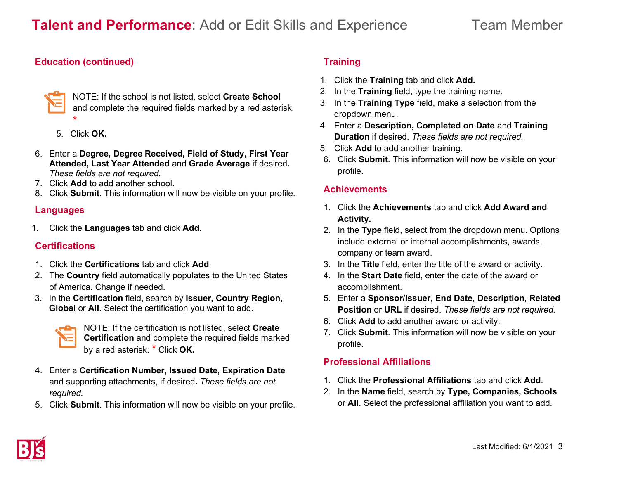# **Education (continued)**



NOTE: If the school is not listed, select **Create School** and complete the required fields marked by a red asterisk. \*

- 5. Click **OK.**
- 6. Enter a **Degree, Degree Received, Field of Study, First Year Attended, Last Year Attended** and **Grade Average** if desired**.**  *These fields are not required.*
- 7. Click **Add** to add another school.
- 8. Click **Submit**. This information will now be visible on your profile.

# **Languages**

1. Click the **Languages** tab and click **Add**.

## **Certifications**

- 1. Click the **Certifications** tab and click **Add**.
- 2. The **Country** field automatically populates to the United States of America. Change if needed.
- 3. In the **Certification** field, search by **Issuer, Country Region, Global** or **All**. Select the certification you want to add.



NOTE: If the certification is not listed, select **Create Certification** and complete the required fields marked by a red asterisk. \* Click **OK.**

- 4. Enter a **Certification Number, Issued Date, Expiration Date**  and supporting attachments, if desired**.** *These fields are not required.*
- 5. Click **Submit**. This information will now be visible on your profile.

# **Training**

- 1. Click the **Training** tab and click **Add.**
- 2. In the **Training** field, type the training name.
- 3. In the **Training Type** field, make a selection from the dropdown menu.
- 4. Enter a **Description, Completed on Date** and **Training Duration** if desired. *These fields are not required.*
- 5. Click **Add** to add another training.
- 6. Click **Submit**. This information will now be visible on your profile.

# **Achievements**

- 1. Click the **Achievements** tab and click **Add Award and Activity.**
- 2. In the **Type** field, select from the dropdown menu. Options include external or internal accomplishments, awards, company or team award.
- 3. In the **Title** field, enter the title of the award or activity.
- 4. In the **Start Date** field, enter the date of the award or accomplishment.
- 5. Enter a **Sponsor/Issuer, End Date, Description, Related Position** or **URL** if desired. *These fields are not required.*
- 6. Click **Add** to add another award or activity.
- 7. Click **Submit**. This information will now be visible on your profile.

# **Professional Affiliations**

- 1. Click the **Professional Affiliations** tab and click **Add**.
- 2. In the **Name** field, search by **Type, Companies, Schools** or **All**. Select the professional affiliation you want to add.